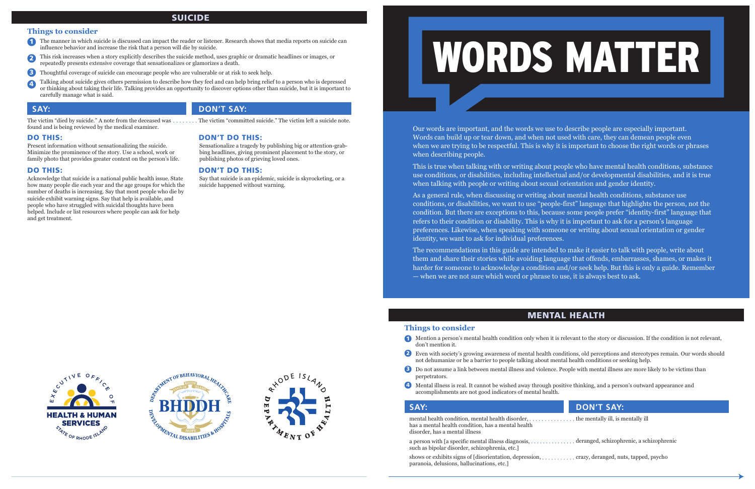## **Things to consider**

- don't mention it.
- not dehumanize or be a barrier to people talking about mental health conditions or seeking help.
- **E** Do not assume a link between mental illness and violence. People with mental illness are more likely to be victims than perpetrators.
- 4 Mental illness is real. It cannot be wished away through positive thinking, and a person's outward appearance and accomplishments are not good indicators of mental health.

Our words are important, and the words we use to describe people are especially important. Words can build up or tear down, and when not used with care, they can demean people even when we are trying to be respectful. This is why it is important to choose the right words or phrases when describing people.

This is true when talking with or writing about people who have mental health conditions, substance use conditions, or disabilities, including intellectual and/or developmental disabilities, and it is true when talking with people or writing about sexual orientation and gender identity.

mental health condition, mental health disorder,  $\dots\dots\dots\dots$  the mentally ill, is mentally ill has a mental health condition, has a mental health disorder, has a mental illness

As a general rule, when discussing or writing about mental health conditions, substance use conditions, or disabilities, we want to use "people-first" language that highlights the person, not the condition. But there are exceptions to this, because some people prefer "identity-first" language that refers to their condition or disability. This is why it is important to ask for a person's language preferences. Likewise, when speaking with someone or writing about sexual orientation or gender identity, we want to ask for individual preferences.

- The manner in which suicide is discussed can impact the reader or listener. Research shows that media reports on suicide can influence behavior and increase the risk that a person will die by suicide.
- This risk increases when a story explicitly describes the suicide method, uses graphic or dramatic headlines or images, or repeatedly presents extensive coverage that sensationalizes or glamorizes a death. 2
- **3** Thoughtful coverage of suicide can encourage people who are vulnerable or at risk to seek help.
- Talking about suicide gives others permission to describe how they feel and can help bring relief to a person who is depressed or thinking about taking their life. Talking provides an opportunity to discover options other than suicide, but it is important to carefully manage what is said. 4

The recommendations in this guide are intended to make it easier to talk with people, write about them and share their stories while avoiding language that offends, embarrasses, shames, or makes it harder for someone to acknowledge a condition and/or seek help. But this is only a guide. Remember — when we are not sure which word or phrase to use, it is always best to ask.

# MENTAL HEALTH

**T** Mention a person's mental health condition only when it is relevant to the story or discussion. If the condition is not relevant,

2 Even with society's growing awareness of mental health conditions, old perceptions and stereotypes remain. Our words should

# **SAY: DON'T SAY: DON'T SAY:**

a person with [a specific mental illness diagnosis, deranged, schizophrenic, a schizophrenic such as bipolar disorder, schizophrenia, etc.]

shows or exhibits signs of [disorientation, depression, crazy, deranged, nuts, tapped, psycho paranoia, delusions, hallucinations, etc.]







# **SAY: DON'T SAY:**

The victim "died by suicide." A note from the deceased was The victim "committed suicide." The victim left a suicide note. found and is being reviewed by the medical examiner.

## **Things to consider**

# SUICIDE

## DO THIS: DON'T DO THIS:

Present information without sensationalizing the suicide. Minimize the prominence of the story. Use a school, work or family photo that provides greater context on the person's life.

Sensationalize a tragedy by publishing big or attention-grabbing headlines, giving prominent placement to the story, or publishing photos of grieving loved ones.

## DO THIS: DON'T DO THIS:

Acknowledge that suicide is a national public health issue. State how many people die each year and the age groups for which the number of deaths is increasing. Say that most people who die by suicide exhibit warning signs. Say that help is available, and people who have struggled with suicidal thoughts have been helped. Include or list resources where people can ask for help and get treatment.

Say that suicide is an epidemic, suicide is skyrocketing, or a suicide happened without warning.

# WORDS MATTER